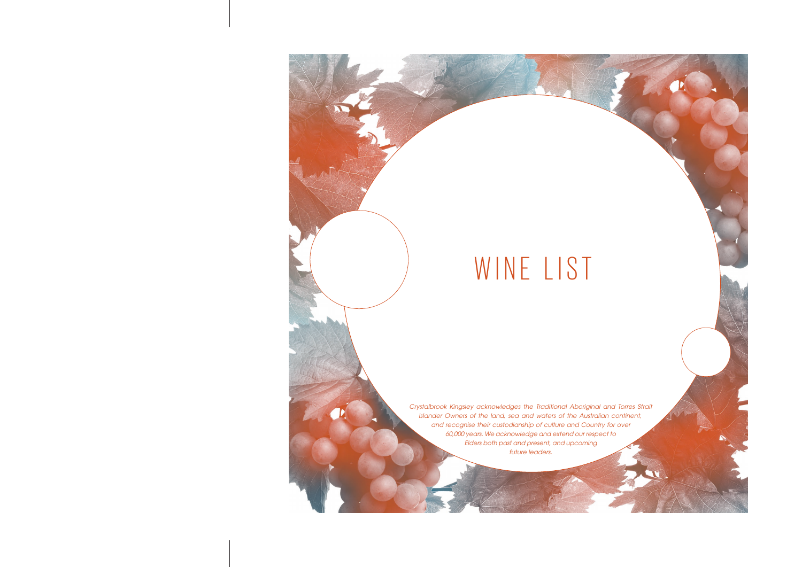# WINE LIST

*Crystalbrook Kingsley acknowledges the Traditional Aboriginal and Torres Strait Islander Owners of the land, sea and waters of the Australian continent, and recognise their custodianship of culture and Country for over 60,000 years. We acknowledge and extend our respect to Elders both past and present, and upcoming future leaders.*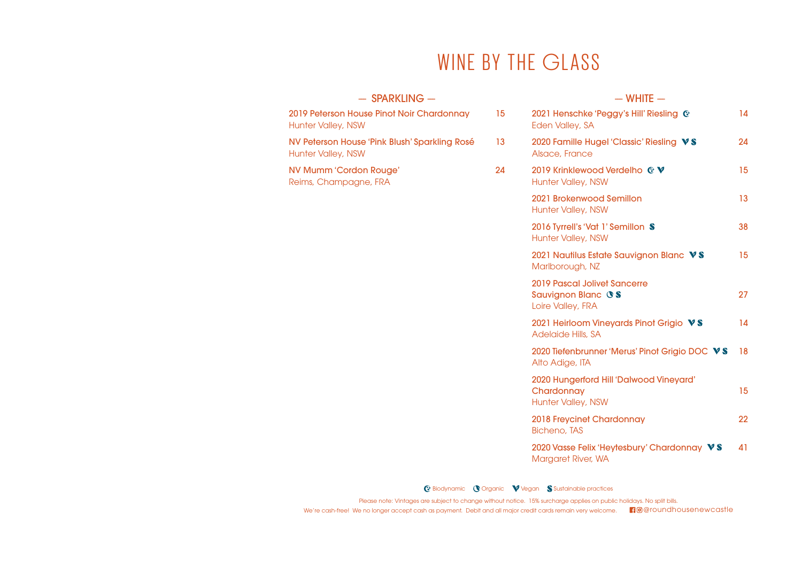## WINE BY THE GLASS

| $-$ SPARKLING $-$                                                          |    | $-$ WHITE $-$                                                                                |    |
|----------------------------------------------------------------------------|----|----------------------------------------------------------------------------------------------|----|
| 2019 Peterson House Pinot Noir Chardonnay<br><b>Hunter Valley, NSW</b>     | 15 | 2021 Henschke 'Peggy's Hill' Riesling C<br>Eden Valley, SA                                   | 14 |
| NV Peterson House 'Pink Blush' Sparkling Rosé<br><b>Hunter Valley, NSW</b> | 13 | 2020 Famille Hugel 'Classic' Riesling VS<br>Alsace, France                                   | 24 |
| NV Mumm 'Cordon Rouge'<br>Reims, Champagne, FRA                            | 24 | 2019 Krinklewood Verdelho C V<br><b>Hunter Valley, NSW</b>                                   | 15 |
|                                                                            |    | 2021 Brokenwood Semillon<br><b>Hunter Valley, NSW</b>                                        | 13 |
|                                                                            |    | 2016 Tyrrell's 'Vat 1' Semillon S<br><b>Hunter Valley, NSW</b>                               | 38 |
|                                                                            |    | 2021 Nautilus Estate Sauvignon Blanc VS<br>Marlborough, NZ                                   | 15 |
|                                                                            |    | <b>2019 Pascal Jolivet Sancerre</b><br>Sauvignon Blanc <b><i>OS</i></b><br>Loire Valley, FRA | 27 |
|                                                                            |    | 2021 Heirloom Vineyards Pinot Grigio VS<br>Adelaide Hills, SA                                | 14 |
|                                                                            |    | 2020 Tiefenbrunner 'Merus' Pinot Grigio DOC VS<br>Alto Adige, ITA                            | 18 |
|                                                                            |    | 2020 Hungerford Hill 'Dalwood Vineyard'<br>Chardonnay<br>Hunter Valley, NSW                  | 15 |
|                                                                            |    | 2018 Freycinet Chardonnay<br><b>Bicheno, TAS</b>                                             | 22 |
|                                                                            |    | 2020 Vasse Felix 'Heytesbury' Chardonnay VS<br>Margaret River, WA                            | 41 |

G Biodynamic **O** Organic **V** Vegan S Sustainable practices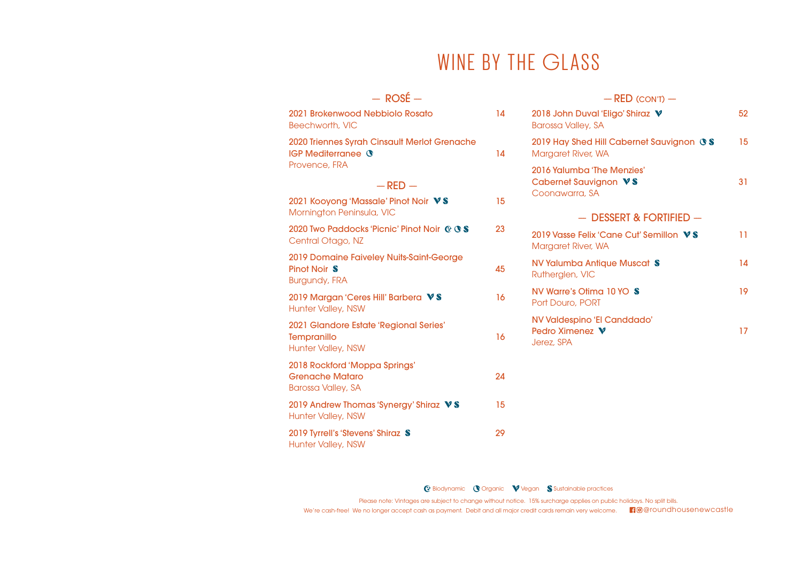## WINE BY THE GLASS

| $-$ ROSÉ $-$                                                                              |    | $-$ RED (CON'T) $-$                                                          |    |
|-------------------------------------------------------------------------------------------|----|------------------------------------------------------------------------------|----|
| 2021 Brokenwood Nebbiolo Rosato<br>Beechworth, VIC                                        | 14 | 2018 John Duval 'Eligo' Shiraz V<br><b>Barossa Valley, SA</b>                | 52 |
| 2020 Triennes Syrah Cinsault Merlot Grenache<br><b>IGP Mediterranee G</b>                 | 14 | 2019 Hay Shed Hill Cabernet Sauvignon <b><i>OS</i></b><br>Margaret River, WA | 15 |
| Provence, FRA<br>$-$ RED $-$<br>2021 Kooyong 'Massale' Pinot Noir VS                      | 15 | 2016 Yalumba 'The Menzies'<br>Cabernet Sauvignon VS<br>Coonawarra, SA        | 31 |
| Mornington Peninsula, VIC                                                                 |    | $-$ DESSERT & FORTIFIED $-$                                                  |    |
| 2020 Two Paddocks 'Picnic' Pinot Noir C OS<br>Central Otago, NZ                           | 23 | 2019 Vasse Felix 'Cane Cut' Semillon VS<br>Margaret River, WA                | 11 |
| 2019 Domaine Faiveley Nuits-Saint-George<br>Pinot Noir S<br><b>Burgundy, FRA</b>          | 45 | NV Yalumba Antique Muscat S<br>Rutherglen, VIC                               | 14 |
| 2019 Margan 'Ceres Hill' Barbera VS<br><b>Hunter Valley, NSW</b>                          | 16 | NV Warre's Otima 10 YO S<br>Port Douro, PORT                                 | 19 |
| 2021 Glandore Estate 'Regional Series'<br><b>Tempranillo</b><br><b>Hunter Valley, NSW</b> | 16 | NV Valdespino 'El Canddado'<br>Pedro Ximenez V<br>Jerez, SPA                 | 17 |
| 2018 Rockford 'Moppa Springs'<br><b>Grenache Mataro</b><br><b>Barossa Valley, SA</b>      | 24 |                                                                              |    |
| 2019 Andrew Thomas 'Synergy' Shiraz VS<br><b>Hunter Valley, NSW</b>                       | 15 |                                                                              |    |
| 2019 Tyrrell's 'Stevens' Shiraz S<br><b>Hunter Valley, NSW</b>                            | 29 |                                                                              |    |

G Biodynamic **O** Organic **V** Vegan **S** Sustainable practices

Please note: Vintages are subject to change without notice. 15% surcharge applies on public holidays. No split bills.

We're cash-free! We no longer accept cash as payment. Debit and all major credit cards remain very welcome. @@roundhousenewcastle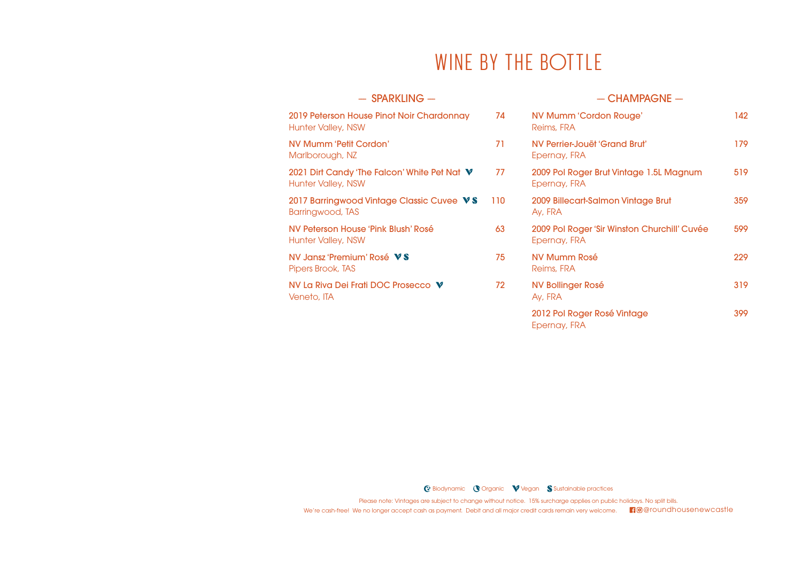## WINE BY THE BOTTLE

## $-$  SPARKLING  $-$ 2019 Peterson House Pinot Noir Chardonnay 74 Hunter Valley, NSW NV Mumm 'Petit Cordon' 71 Marlborough, NZ 2021 Dirt Candy 'The Falcon' White Pet Nat  $V = 77$ Hunter Valley, NSW 2017 Barringwood Vintage Classic Cuvee VS 110 Barringwood, TAS NV Peterson House 'Pink Blush' Rosé 63 Hunter Valley, NSW NV Jansz 'Premium' Rosé  $\triangledown$  S 75 Pipers Brook, TAS NV La Riva Dei Frati DOC Prosecco  $V$  72 Veneto, ITA

## $-$  CHAMPAGNE  $-$

| NV Mumm 'Cordon Rouge'<br>Reims, FRA                         | 142 |
|--------------------------------------------------------------|-----|
| NV Perrier-Jouët 'Grand Brut'<br>Epernay, FRA                | 179 |
| 2009 Pol Roger Brut Vintage 1.5L Magnum<br>Epernay, FRA      | 519 |
| 2009 Billecart-Salmon Vintage Brut<br>Ay, FRA                | 359 |
| 2009 Pol Roger 'Sir Winston Churchill' Cuvée<br>Epernay, FRA | 599 |
| <b>NV Mumm Rosé</b><br>Reims, FRA                            | 229 |
| NV Bollinger Rosé<br>Ay, FRA                                 | 319 |
| 2012 Pol Roger Rosé Vintage<br>Epernay, FRA                  | 399 |

G Biodynamic Corganic V Vegan S Sustainable practices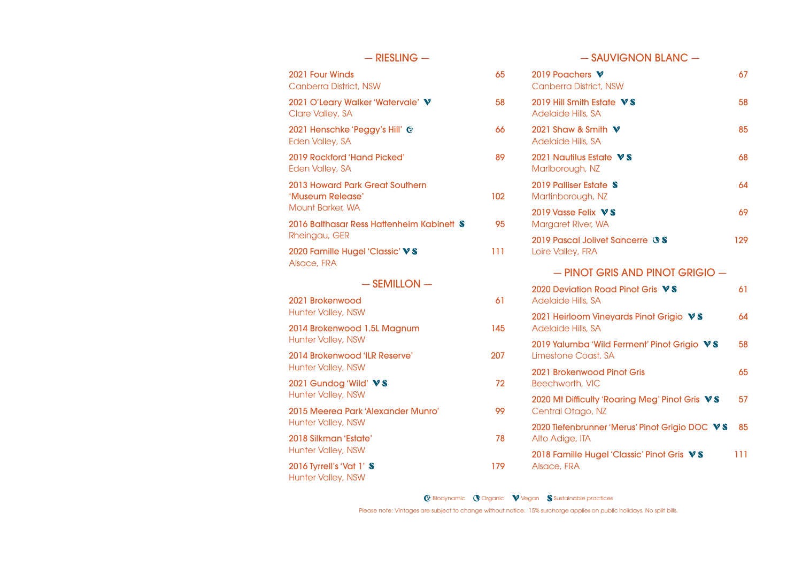| $-$ RIESLING $-$                                                        |     |                     |
|-------------------------------------------------------------------------|-----|---------------------|
| 2021 Four Winds<br><b>Canberra District, NSW</b>                        | 65  | 2019<br>Can         |
| 2021 O'Leary Walker 'Watervale' V<br>Clare Valley, SA                   | 58  | 2019<br>Ade         |
| 2021 Henschke 'Peggy's Hill' C<br>Eden Valley, SA                       | 66  | 2021<br>Ade         |
| 2019 Rockford 'Hand Picked'<br>Eden Valley, SA                          | 89  | 2021<br>Marl        |
| 2013 Howard Park Great Southern<br>'Museum Release'<br>Mount Barker, WA | 102 | 2019<br>Mar<br>2019 |
| 2016 Balthasar Ress Hattenheim Kabinett S<br>Rheingau, GER              | 95  | Mar<br>2019         |
| 2020 Famille Hugel 'Classic' VS<br>Alsace, FRA                          | 111 | Loire               |
| $-$ SEMILLON $-$                                                        |     | 2020                |
| 2021 Brokenwood<br><b>Hunter Valley, NSW</b>                            | 61  | Ade<br>2021         |
| 2014 Brokenwood 1.5L Magnum<br><b>Hunter Valley, NSW</b>                | 145 | Ade                 |
| 2014 Brokenwood 'ILR Reserve'<br><b>Hunter Valley, NSW</b>              | 207 | 2019<br>Lime        |
| 2021 Gundog 'Wild' VS<br>Hunter Valley, NSW                             | 72  | 2021<br><b>Bee</b>  |
| 2015 Meerea Park 'Alexander Munro'<br>Hunter Valley, NSW                | 99  | 2020<br>Cen         |
| 2018 Silkman 'Estate'                                                   | 78  | 2020<br>Alto        |
| Hunter Valley, NSW<br>2016 Tyrrell's 'Vat 1' S                          | 179 | 2018<br>Alsa        |

### Hunter Valley, NSW

 $-$  SAUVIGNON BLANC  $-$ 

| 2019 Poachers V<br><b>Canberra District, NSW</b>                    | 67  |
|---------------------------------------------------------------------|-----|
| 2019 Hill Smith Estate VS<br>Adelaide Hills, SA                     | 58  |
| 2021 Shaw & Smith V<br>Adelaide Hills, SA                           | 85  |
| 2021 Nautilus Estate VS<br>Marlborough, NZ                          | 68  |
| 2019 Palliser Estate S<br>Martinborough, NZ                         | 64  |
| 2019 Vasse Felix $\nabla$ S<br>Margaret River, WA                   | 69  |
| 2019 Pascal Jolivet Sancerre <b><i>OS</i></b><br>Loire Valley, FRA  | 129 |
| - PINOT GRIS AND PINOT GRIGIO -                                     |     |
| 2020 Deviation Road Pinot Gris VS<br>Adelaide Hills, SA             | 61  |
| 2021 Heirloom Vineyards Pinot Grigio VS<br>Adelaide Hills, SA       | 64  |
| 2019 Yalumba 'Wild Ferment' Pinot Grigio VS<br>Limestone Coast, SA  | 58  |
| 2021 Brokenwood Pinot Gris<br>Beechworth, VIC                       | 65  |
| 2020 Mt Difficulty 'Roaring Meg' Pinot Gris VS<br>Central Otago, NZ | 57  |
| 2020 Tiefenbrunner 'Merus' Pinot Grigio DOC VS<br>Alto Adige, ITA   | 85  |
| 2018 Famille Hugel 'Classic' Pinot Gris VS<br>Alsace, FRA           | 111 |

G<sup>+</sup> Biodynamic **O** Organic **V** Vegan S Sustainable practices

Please note: Vintages are subject to change without notice. 15% surcharge applies on public holidays. No split bills.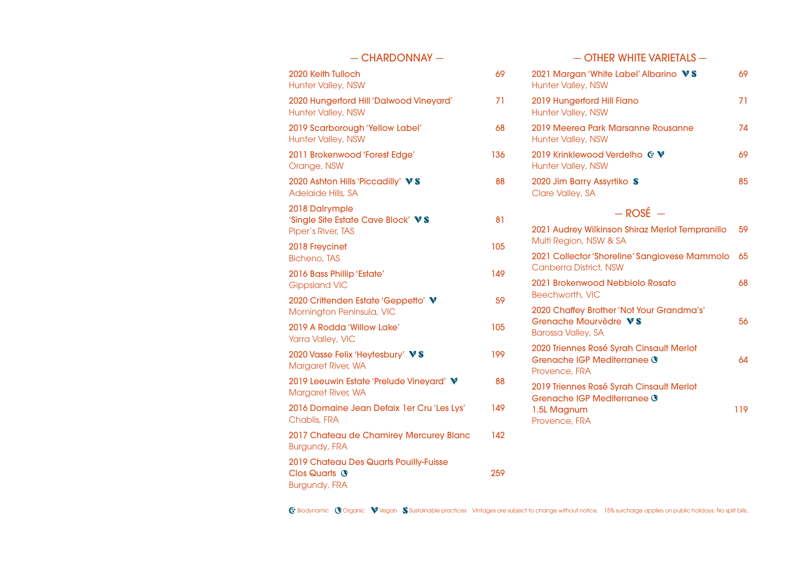| $-$ CHARDONNAY $-$                                                                         |     |  |
|--------------------------------------------------------------------------------------------|-----|--|
| 2020 Keith Tulloch<br>Hunter Valley, NSW                                                   | 69  |  |
| 2020 Hungerford Hill 'Dalwood Vineyard'<br>Hunter Valley, NSW                              | 71  |  |
| 2019 Scarborough 'Yellow Label'<br>Hunter Valley, NSW                                      | 68  |  |
| 2011 Brokenwood 'Forest Edge'<br>Orange, NSW                                               | 136 |  |
| 2020 Ashton Hills 'Piccadilly' VS<br>Adelaide Hills, SA                                    | 88  |  |
| 2018 Dalrymple<br>'Single Site Estate Cave Block' VS<br>Piper's River, TAS                 | 81  |  |
| 2018 Freycinet<br><b>Bicheno, TAS</b>                                                      | 105 |  |
| 2016 Bass Phillip 'Estate'<br><b>Gippsland VIC</b>                                         | 149 |  |
| 2020 Crittenden Estate 'Geppetto' V<br>Mornington Peninsula, VIC                           | 59  |  |
| 2019 A Rodda 'Willow Lake'<br>Yarra Valley, VIC                                            | 105 |  |
| 2020 Vasse Felix 'Heytesbury' VS<br>Margaret River, WA                                     | 199 |  |
| 2019 Leeuwin Estate 'Prelude Vineyard' V<br>Margaret River, WA                             | 88  |  |
| 2016 Domaine Jean Defaix 1er Cru 'Les Lys'<br>Chablis, FRA                                 | 149 |  |
| 2017 Chateau de Chamirey Mercurey Blanc<br><b>Burgundy, FRA</b>                            | 142 |  |
| 2019 Chateau Des Quarts Pouilly-Fuisse<br>Clos Quarts <sup>®</sup><br><b>Burgundy, FRA</b> | 259 |  |

 $-$  OTHER WHITE VARIETALS  $-$ 

| 2021 Margan 'White Label' Albarino VS<br><b>Hunter Valley, NSW</b>                                             | 69  |
|----------------------------------------------------------------------------------------------------------------|-----|
| 2019 Hungerford Hill Fiano<br><b>Hunter Valley, NSW</b>                                                        | 71  |
| 2019 Meerea Park Marsanne Rousanne<br><b>Hunter Valley, NSW</b>                                                | 74  |
| 2019 Krinklewood Verdelho C V<br><b>Hunter Valley, NSW</b>                                                     | 69  |
| 2020 Jim Barry Assyrtiko S<br>Clare Valley, SA                                                                 | 85  |
| $-$ ROSÉ $-$                                                                                                   |     |
| 2021 Audrey Wilkinson Shiraz Merlot Tempranillo<br>Multi Region, NSW & SA                                      | 59  |
| 2021 Collector 'Shoreline' Sangiovese Mammolo<br><b>Canberra District, NSW</b>                                 | 65  |
| 2021 Brokenwood Nebbiolo Rosato<br>Beechworth, VIC                                                             | 68  |
| 2020 Chaffey Brother 'Not Your Grandma's'<br>Grenache Mourvèdre VS<br><b>Barossa Valley, SA</b>                | 56  |
| 2020 Triennes Rosé Syrah Cinsault Merlot<br>Grenache IGP Mediterranee ®<br>Provence, FRA                       | 64  |
| 2019 Triennes Rosé Syrah Cinsault Merlot<br>Grenache IGP Mediterranee <b>\</b><br>1.5L Magnum<br>Provence, FRA | 119 |

G Biodynamic COrganic Vegan S Sustainable practices Vintages are subject to change without notice. 15% surcharge applies on public holidays. No split bills.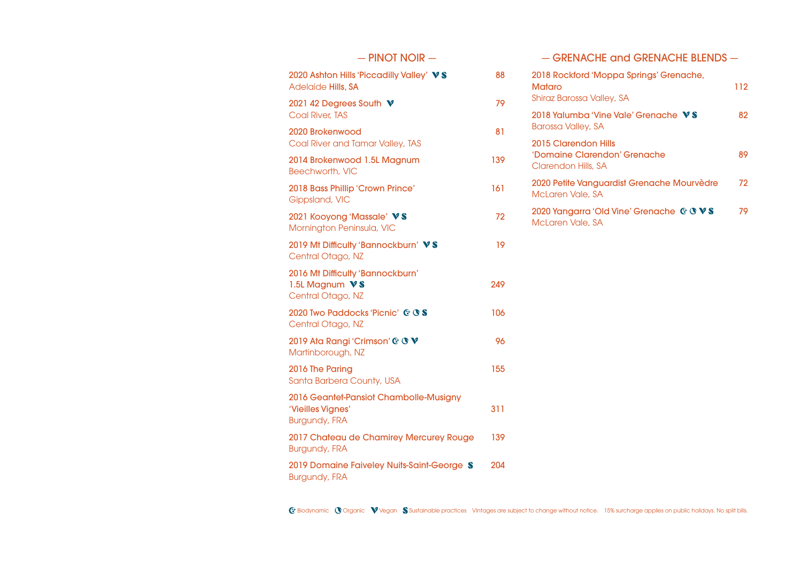| $-$ PINOT NOIR $-$                                                                  |     |
|-------------------------------------------------------------------------------------|-----|
| 2020 Ashton Hills 'Piccadilly Valley' VS<br>Adelaide Hills, SA                      | 88  |
| 2021 42 Degrees South V<br><b>Coal River, TAS</b>                                   | 79  |
| 2020 Brokenwood<br>Coal River and Tamar Valley, TAS                                 | 81  |
| 2014 Brokenwood 1.5L Magnum<br>Beechworth, VIC                                      | 139 |
| 2018 Bass Phillip 'Crown Prince'<br>Gippsland, VIC                                  | 161 |
| 2021 Kooyong 'Massale' VS<br>Mornington Peninsula, VIC                              | 72  |
| 2019 Mt Difficulty 'Bannockburn' VS<br>Central Otago, NZ                            | 19  |
| 2016 Mt Difficulty 'Bannockburn'<br>1.5L Magnum VS<br>Central Otago, NZ             | 249 |
| 2020 Two Paddocks 'Picnic' C <b>S</b><br>Central Otago, NZ                          | 106 |
| 2019 Ata Rangi 'Crimson' @ ® V<br>Martinborough, NZ                                 | 96  |
| 2016 The Paring<br>Santa Barbera County, USA                                        | 155 |
| 2016 Geantet-Pansiot Chambolle-Musigny<br>'Vieilles Vignes'<br><b>Burgundy, FRA</b> | 311 |
| 2017 Chateau de Chamirey Mercurey Rouge<br><b>Burgundy, FRA</b>                     | 139 |
| 2019 Domaine Faiveley Nuits-Saint-George S<br><b>Burgundy, FRA</b>                  | 204 |

-- GRENACHE and GRENACHE BLENDS --

| 2018 Rockford 'Moppa Springs' Grenache,<br>Mataro<br>Shiraz Barossa Valley, SA | 112 |
|--------------------------------------------------------------------------------|-----|
| 2018 Yalumba 'Vine Vale' Grenache $\sqrt{S}$<br>Barossa Valley, SA             | 82  |
| 2015 Clarendon Hills<br>'Domaine Clarendon' Grenache<br>Clarendon Hills, SA    | 89  |
| 2020 Petite Vanguardist Grenache Mourvèdre<br>McLaren Vale, SA                 | 72  |
| 2020 Yangarra 'Old Vine' Grenache C C V S<br>McLaren Vale, SA                  | 79  |
|                                                                                |     |

G Biodynamic Corganic Vegan S Sustainable practices Vintages are subject to change without notice. 15% surcharge applies on public holidays. No split bills.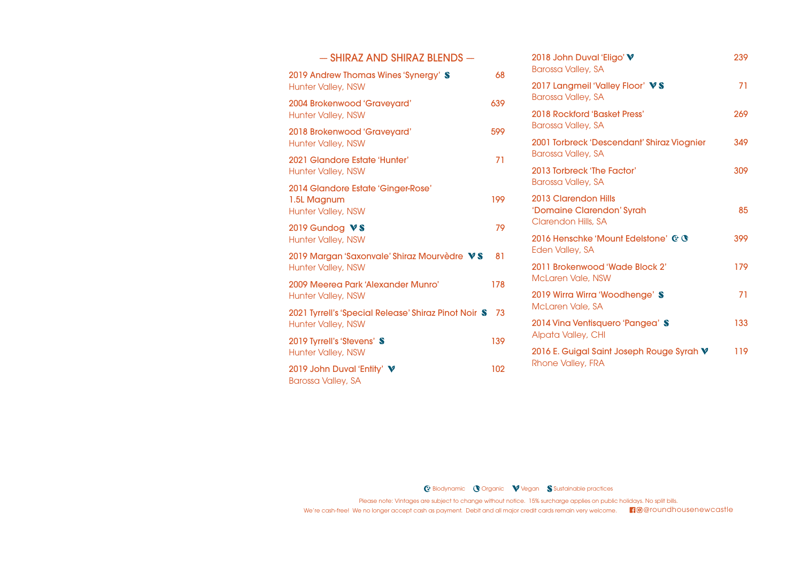| - SHIRAZ AND SHIRAZ BLENDS -                                                      |     |
|-----------------------------------------------------------------------------------|-----|
| 2019 Andrew Thomas Wines 'Synergy' S<br><b>Hunter Valley, NSW</b>                 | 68  |
| 2004 Brokenwood 'Graveyard'<br>Hunter Valley, NSW                                 | 639 |
| 2018 Brokenwood 'Graveyard'<br><b>Hunter Valley, NSW</b>                          | 599 |
| 2021 Glandore Estate 'Hunter'<br><b>Hunter Valley, NSW</b>                        | 71  |
| 2014 Glandore Estate 'Ginger-Rose'<br>1.5L Magnum<br><b>Hunter Valley, NSW</b>    | 199 |
| 2019 Gundog VS<br><b>Hunter Valley, NSW</b>                                       | 79  |
| 2019 Margan 'Saxonvale' Shiraz Mourvèdre VS<br><b>Hunter Valley, NSW</b>          | 81  |
| 2009 Meerea Park 'Alexander Munro'<br><b>Hunter Valley, NSW</b>                   | 178 |
| 2021 Tyrrell's 'Special Release' Shiraz Pinot Noir S<br><b>Hunter Valley, NSW</b> | 73  |
| 2019 Tyrrell's 'Stevens' S<br><b>Hunter Valley, NSW</b>                           | 139 |
| 2019 John Duval 'Entity' V<br><b>Barossa Valley, SA</b>                           | 102 |

| 2018 John Duval 'Eligo' V<br><b>Barossa Valley, SA</b>                   | 239 |
|--------------------------------------------------------------------------|-----|
| 2017 Langmeil 'Valley Floor' VS<br><b>Barossa Valley, SA</b>             | 71  |
| <b>2018 Rockford 'Basket Press'</b><br><b>Barossa Valley, SA</b>         | 269 |
| 2001 Torbreck 'Descendant' Shiraz Viognier<br><b>Barossa Valley, SA</b>  | 349 |
| 2013 Torbreck 'The Factor'<br><b>Barossa Valley, SA</b>                  | 309 |
| 2013 Clarendon Hills<br>'Domaine Clarendon' Syrah<br>Clarendon Hills, SA | 85  |
| 2016 Henschke 'Mount Edelstone' C C<br>Eden Valley, SA                   | 399 |
| 2011 Brokenwood 'Wade Block 2'<br><b>McLaren Vale, NSW</b>               | 179 |
| 2019 Wirra Wirra 'Woodhenge' S<br>McLaren Vale, SA                       | 71  |
| 2014 Vina Ventisquero 'Pangea' S<br>Alpata Valley, CHI                   | 133 |
| 2016 E. Guigal Saint Joseph Rouge Syrah V<br>Rhone Valley, FRA           | 119 |
|                                                                          |     |

G Biodynamic **O** Organic **V** Vegan S Sustainable practices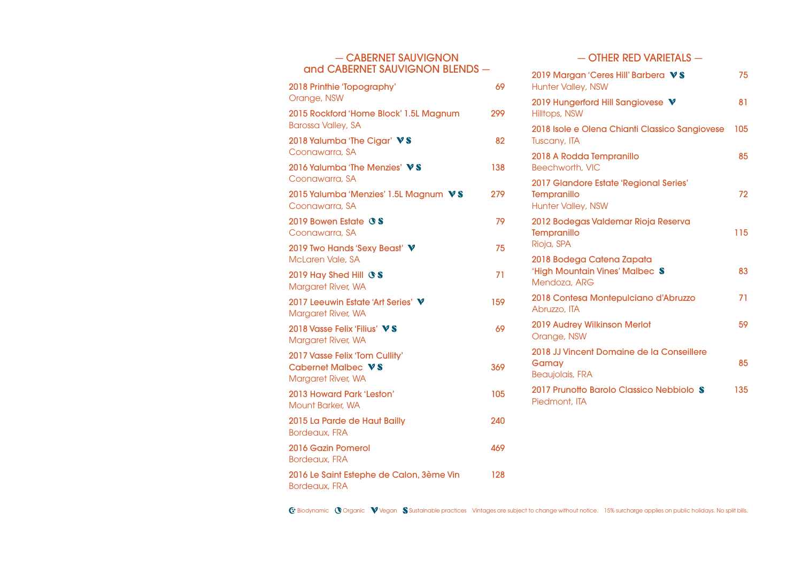## - CABERNET SAUVIGNON and CABERNET SAUVIGNON BLENDS -

| 2018 Printhie 'Topography'<br>Orange, NSW                                  | 69  |
|----------------------------------------------------------------------------|-----|
| 2015 Rockford 'Home Block' 1.5L Magnum<br><b>Barossa Valley, SA</b>        | 299 |
| 2018 Yalumba 'The Cigar' VS<br>Coonawarra, SA                              | 82  |
| 2016 Yalumba 'The Menzies' VS<br>Coonawarra, SA                            | 138 |
| 2015 Yalumba 'Menzies' 1.5L Magnum VS<br>Coonawarra, SA                    | 279 |
| 2019 Bowen Estate <b><i>SS</i></b><br>Coonawarra, SA                       | 79  |
| 2019 Two Hands 'Sexy Beast' V<br>McLaren Vale, SA                          | 75  |
| 2019 Hay Shed Hill <b>SS</b><br>Margaret River, WA                         | 71  |
| 2017 Leeuwin Estate 'Art Series' V<br>Margaret River, WA                   | 159 |
| 2018 Vasse Felix 'Filius' VS<br>Margaret River, WA                         | 69  |
| 2017 Vasse Felix 'Tom Cullity'<br>Cabernet Malbec VS<br>Margaret River, WA | 369 |
| 2013 Howard Park 'Leston'<br><b>Mount Barker, WA</b>                       | 105 |
| 2015 La Parde de Haut Bailly<br><b>Bordeaux, FRA</b>                       | 240 |
| 2016 Gazin Pomerol<br><b>Bordeaux, FRA</b>                                 | 469 |
| 2016 Le Saint Estephe de Calon, 3ème Vin<br><b>Bordeaux, FRA</b>           | 128 |

 $-$  OTHER RED VARIETALS  $-$ 

| 2019 Margan 'Ceres Hill' Barbera VS<br><b>Hunter Valley, NSW</b>                   | 75  |
|------------------------------------------------------------------------------------|-----|
| 2019 Hungerford Hill Sangiovese V<br>Hilltops, NSW                                 | 81  |
| 2018 Isole e Olena Chianti Classico Sangiovese<br>Tuscany, ITA                     | 105 |
| 2018 A Rodda Tempranillo<br>Beechworth, VIC                                        | 85  |
| 2017 Glandore Estate 'Regional Series'<br>Tempranillo<br><b>Hunter Valley, NSW</b> | 72  |
| 2012 Bodegas Valdemar Rioja Reserva<br>Tempranillo<br>Rioja, SPA                   | 115 |
| 2018 Bodega Catena Zapata<br>'High Mountain Vines' Malbec \$<br>Mendoza, ARG       | 83  |
| 2018 Contesa Montepulciano d'Abruzzo<br>Abruzzo, ITA                               | 71  |
| 2019 Audrey Wilkinson Merlot<br>Orange, NSW                                        | 59  |
| 2018 JJ Vincent Domaine de la Conseillere<br>Gamay<br><b>Beaujolais, FRA</b>       | 85  |
| 2017 Prunotto Barolo Classico Nebbiolo S<br>Piedmont, ITA                          | 135 |

 $G$  Biodynamic  $\bigcirc$  Organic  $\bigvee$  Vegan  $\bigcirc$  Sustainable practices Vintages are subject to change without notice. 15% surcharge applies on public holidays. No split bills.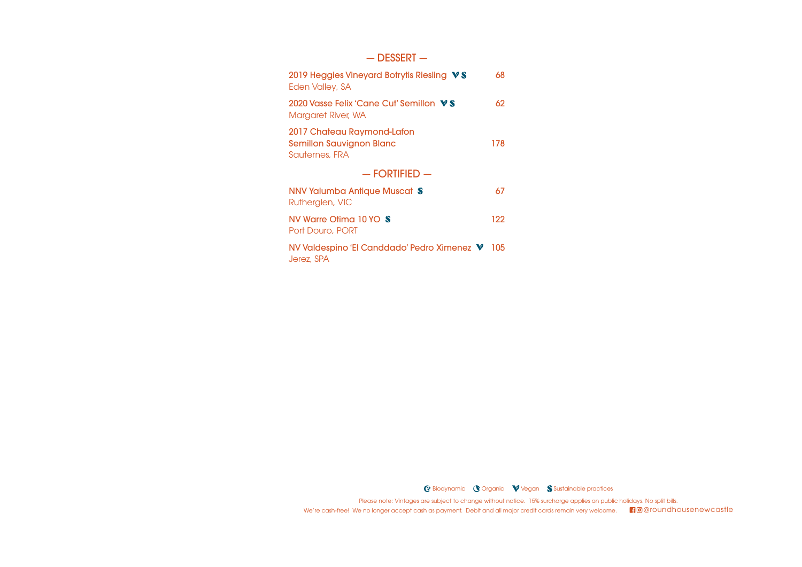### $-$  DESSERT  $-$

| 2019 Heggies Vineyard Botrytis Riesling VS<br>Eden Valley, SA                   | 68  |  |
|---------------------------------------------------------------------------------|-----|--|
| 2020 Vasse Felix 'Cane Cut' Semillon VS<br>Margaret River, WA                   | 62  |  |
| 2017 Chateau Raymond-Lafon<br><b>Semillon Sauvignon Blanc</b><br>Sauternes, FRA | 178 |  |
| $-$ FORTIFIED $-$                                                               |     |  |
| NNV Yalumba Antique Muscat S<br>Rutherglen, VIC                                 | 67  |  |
| NV Warre Otima 10 YO S<br>Port Douro, PORT                                      | 122 |  |
| NV Valdespino 'El Canddado' Pedro Ximenez V<br>Jerez, SPA                       | 105 |  |

G Biodynamic **O** Organic **V** Vegan **S** Sustainable practices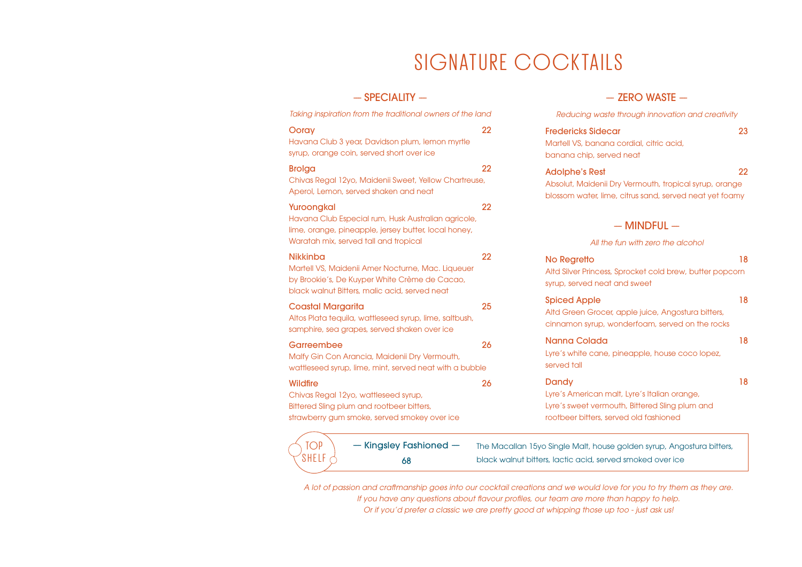## SIGNATURE COCKTAILS

## $-$  SPECIALITY  $-$

*Taking inspiration from the traditional owners of the land* Ooray 22 Havana Club 3 year, Davidson plum, lemon myrtle syrup, orange coin, served short over ice Brolga 22 Chivas Regal 12yo, Maidenii Sweet, Yellow Chartreuse, Aperol, Lemon, served shaken and neat Yuroongkal 22 Havana Club Especial rum, Husk Australian agricole, lime, orange, pineapple, jersey butter, local honey, Waratah mix, served tall and tropical Nikkinba 22 Martell VS, Maidenii Amer Nocturne, Mac. Liqueuer by Brookie's, De Kuyper White Crème de Cacao, black walnut Bitters, malic acid, served neat Coastal Margarita 25 Altos Plata tequila, wattleseed syrup, lime, saltbush, samphire, sea grapes, served shaken over ice Garreembee 26 Malfy Gin Con Arancia, Maidenii Dry Vermouth, wattleseed syrup, lime, mint, served neat with a bubble Wildfire 26 Chivas Regal 12yo, wattleseed syrup, Bittered Sling plum and rootbeer bitters,

strawberry gum smoke, served smokey over ice

68



 $-$  ZERO WASTE  $-$ 

*Reducing waste through innovation and creativity*

| Fredericks Sidecar<br>Martell VS, banana cordial, citric acid,<br>banana chip, served neat                                                 | 23 |
|--------------------------------------------------------------------------------------------------------------------------------------------|----|
| <b>Adolphe's Rest</b><br>Absolut, Maidenii Dry Vermouth, tropical syrup, orange<br>blossom water, lime, citrus sand, served neat yet foamy | 22 |
| $-$ MINDEUI $-$                                                                                                                            |    |

#### *All the fun with zero the alcohol*

| No Regretto                                              | 18 |
|----------------------------------------------------------|----|
| Altd Silver Princess, Sprocket cold brew, butter popcorn |    |
| syrup, served neat and sweet                             |    |
| <b>Spiced Apple</b>                                      | 18 |

Altd Green Grocer, apple juice, Angostura bitters, cinnamon syrup, wonderfoam, served on the rocks

### Nanna Colada 18

Lyre's white cane, pineapple, house coco lopez, served tall

#### Dandy 18

Lyre's American malt, Lyre's Italian orange, Lyre's sweet vermouth, Bittered Sling plum and rootbeer bitters, served old fashioned

The Macallan 15yo Single Malt, house golden syrup, Angostura bitters, black walnut bitters, lactic acid, served smoked over ice

*A lot of passion and craftmanship goes into our cocktail creations and we would love for you to try them as they are. If you have any questions about flavour profiles, our team are more than happy to help. Or if you'd prefer a classic we are pretty good at whipping those up too - just ask us!*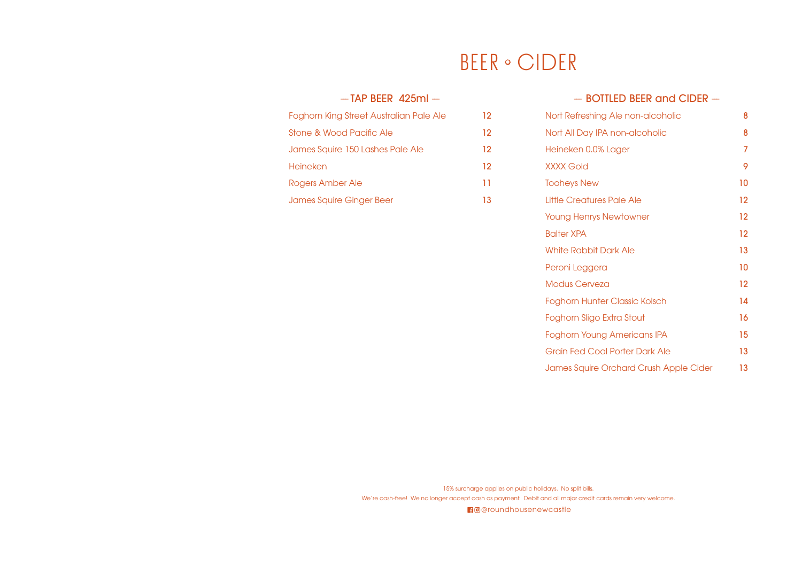## **BEER** · CIDER

## $-$  TAP BEER 425ml  $-$

| Foghorn King Street Australian Pale Ale | 12. |
|-----------------------------------------|-----|
| Stone & Wood Pacific Ale                | 12. |
| James Squire 150 Lashes Pale Ale        | 12. |
| Heineken                                | 12. |
| Rogers Amber Ale                        | 11  |
| James Squire Ginger Beer                | 13  |

## -- BOTTLED BEER and CIDER --

| Nort Refreshing Ale non-alcoholic      | 8       |
|----------------------------------------|---------|
| Nort All Day IPA non-alcoholic         | 8       |
| Heineken 0.0% Lager                    | 7       |
| <b>XXXX Gold</b>                       | 9       |
| <b>Tooheys New</b>                     | 10      |
| Little Creatures Pale Ale              | 12      |
| <b>Young Henrys Newtowner</b>          | 12      |
| <b>Balter XPA</b>                      | $12 \,$ |
| White Rabbit Dark Ale                  | 13      |
| Peroni Leggera                         | 10      |
| <b>Modus Cerveza</b>                   | 12      |
| <b>Foghorn Hunter Classic Kolsch</b>   | 14      |
| Foghorn Sligo Extra Stout              | 16      |
| Foghorn Young Americans IPA            | 15      |
| Grain Fed Coal Porter Dark Ale         | 13      |
| James Squire Orchard Crush Apple Cider | 13      |

15% surcharge applies on public holidays. No split bills. We're cash-free! We no longer accept cash as payment. Debit and all major credit cards remain very welcome.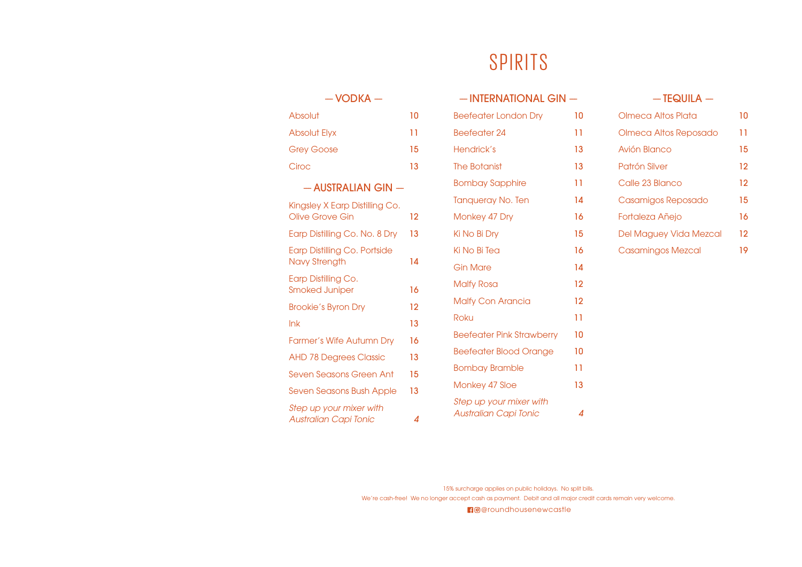## SPIRITS

## $-$  VODKA  $-$

| Absolut             | N  |
|---------------------|----|
| <b>Absolut Elyx</b> | 11 |
| <b>Grey Goose</b>   | 15 |
| Ciroc               | 13 |

## $-$  AUSTRALIAN GIN  $-$

| Kingsley X Earp Distilling Co.  |    |
|---------------------------------|----|
| Olive Grove Gin                 | 12 |
| Earp Distilling Co. No. 8 Dry   | 13 |
| Earp Distilling Co. Portside    |    |
| Navy Strength                   | 14 |
| Earp Distilling Co.             |    |
| Smoked Juniper                  | 16 |
| <b>Brookie's Byron Dry</b>      | 12 |
| lnk                             | 13 |
| <b>Farmer's Wife Autumn Dry</b> | 16 |
| <b>AHD 78 Degrees Classic</b>   | 13 |
| Seven Seasons Green Ant         | 15 |
| Seven Seasons Bush Apple        | 13 |
| Step up your mixer with         |    |
| Australian Capi Tonic           | 4  |

| - INTERNATIONAL GIN -                                   |    |
|---------------------------------------------------------|----|
| <b>Beefeater London Dry</b>                             | 10 |
| <b>Beefeater 24</b>                                     | 11 |
| Hendrick's                                              | 13 |
| The Botanist                                            | 13 |
| <b>Bombay Sapphire</b>                                  | 11 |
| <b>Tanqueray No. Ten</b>                                | 14 |
| Monkey 47 Dry                                           | 16 |
| Ki No Bi Dry                                            | 15 |
| Ki No Bi Tea                                            | 16 |
| <b>Gin Mare</b>                                         | 14 |
| <b>Malfy Rosa</b>                                       | 12 |
| <b>Malfy Con Arancia</b>                                | 12 |
| Roku                                                    | Ħ  |
| <b>Beefeater Pink Strawberry</b>                        | 10 |
| <b>Beefeater Blood Orange</b>                           | 10 |
| <b>Bombay Bramble</b>                                   | 11 |
| Monkey 47 Sloe                                          | 13 |
| Step up your mixer with<br><b>Australian Capi Tonic</b> | 4  |

### $-$  TEQUILA  $-$

| Olmeca Altos Plata       | 10 |
|--------------------------|----|
| Olmeca Altos Reposado    | 11 |
| Avión Blanco             | 15 |
| Patrón Silver            | 12 |
| Calle 23 Blanco          | 12 |
| Casamigos Reposado       | 15 |
| Fortaleza Añejo          | 16 |
| Del Maguey Vida Mezcal   | 12 |
| <b>Casamingos Mezcal</b> | 19 |

15% surcharge applies on public holidays. No split bills. We're cash-free! We no longer accept cash as payment. Debit and all major credit cards remain very welcome.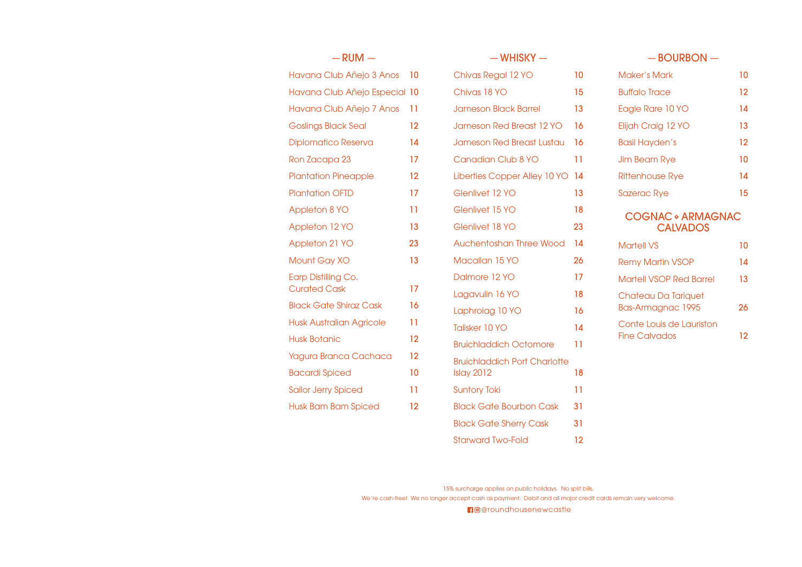| $-$ RUM $-$                     |                   | $-WHISKY -$                         |     | $-$ BOURBON $-$                |    |
|---------------------------------|-------------------|-------------------------------------|-----|--------------------------------|----|
| Havana Club Añejo 3 Anos        | -10               | Chivas Regal 12 YO                  | 10  | <b>Maker's Mark</b>            | 10 |
| Havana Club Añejo Especial 10   |                   | Chivas 18 YO                        | 15  | <b>Buffalo Trace</b>           | 12 |
| Havana Club Añejo 7 Anos        | -11               | <b>Jameson Black Barrel</b>         | 13  | Eagle Rare 10 YO               | 14 |
| Goslings Black Seal             | 12                | Jameson Red Breast 12 YO            | 16  | Elijah Craig 12 YO             | 13 |
| <b>Diplomatico Reserva</b>      | 14                | <b>Jameson Red Breast Lustau</b>    | 16  | <b>Basil Hayden's</b>          | 12 |
| Ron Zacapa 23                   | 17                | Canadian Club 8 YO                  | 11  | <b>Jim Beam Rye</b>            | 10 |
| <b>Plantation Pineapple</b>     | 12                | Liberties Copper Alley 10 YO        | -14 | <b>Rittenhouse Rye</b>         | 14 |
| <b>Plantation OFTD</b>          | 17                | Glenlivet 12 YO                     | 13  | <b>Sazerac Rye</b>             | 15 |
| <b>Appleton 8 YO</b>            | 11                | Glenlivet 15 YO                     | 18  | <b>COGNAC • ARMAGNAC</b>       |    |
| Appleton 12 YO                  | 13                | Glenlivet 18 YO                     | 23  | <b>CALVADOS</b>                |    |
| Appleton 21 YO                  | 23                | Auchentoshan Three Wood             | 14  | <b>Martell VS</b>              | 10 |
| Mount Gay XO                    | 13                | Macallan 15 YO                      | 26  | <b>Remy Martin VSOP</b>        | 14 |
| Earp Distilling Co.             |                   | Dalmore 12 YO                       | 17  | <b>Martell VSOP Red Barrel</b> | 13 |
| <b>Curated Cask</b>             | 17                | Lagavulin 16 YO                     | 18  | Chateau Da Tariquet            |    |
| <b>Black Gate Shiraz Cask</b>   | 16                | Laphroiag 10 YO                     | 16  | <b>Bas-Armagnac 1995</b>       | 26 |
| <b>Husk Australian Agricole</b> | 11                | Talisker 10 YO                      | 14  | Conte Louis de Lauriston       |    |
| <b>Husk Botanic</b>             | $12 \overline{ }$ | <b>Bruichladdich Octomore</b>       | 11  | <b>Fine Calvados</b>           | 12 |
| Yagura Branca Cachaca           | 12 <sup>2</sup>   | <b>Bruichladdich Port Charlotte</b> |     |                                |    |
| <b>Bacardi Spiced</b>           | 10                | Islay 2012                          | 18  |                                |    |
| <b>Sailor Jerry Spiced</b>      | 11                | <b>Suntory Toki</b>                 | 11  |                                |    |
| <b>Husk Bam Bam Spiced</b>      | 12                | <b>Black Gate Bourbon Cask</b>      | 31  |                                |    |
|                                 |                   | <b>Black Gate Sherry Cask</b>       | 31  |                                |    |
|                                 |                   |                                     |     |                                |    |

15% surcharge applies on public holidays. No split bills. We're cash-free! We no longer accept cash as payment. Debit and all major credit cards remain very welcome.

Starward Two-Fold 12